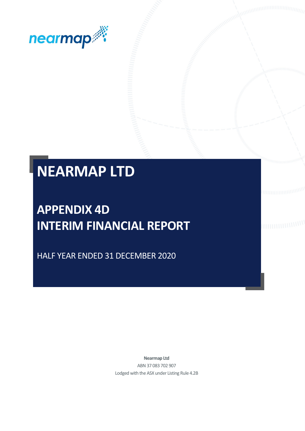

# **NEARMAP LTD**

## **APPENDIX 4D INTERIM FINANCIAL REPORT**

HALF YEAR ENDED 31 DECEMBER 2020

**Nearmap Ltd** ABN 37 083 702 907 Lodged with the ASX under Listing Rule 4.2B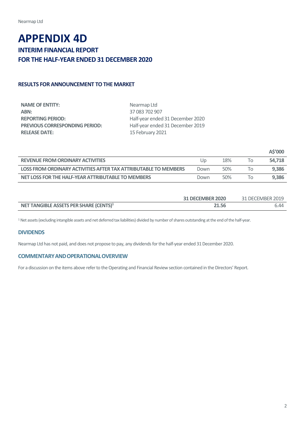## **APPENDIX 4D INTERIM FINANCIAL REPORT FOR THE HALF-YEAR ENDED 31 DECEMBER 2020**

## **RESULTS FOR ANNOUNCEMENT TO THE MARKET**

| Nearmap Ltd                      |
|----------------------------------|
| 37 083 702 907                   |
| Half-year ended 31 December 2020 |
| Half-year ended 31 December 2019 |
| 15 February 2021                 |
|                                  |

|                                                                 |      |     |           | AS'000 |
|-----------------------------------------------------------------|------|-----|-----------|--------|
| <b>REVENUE FROM ORDINARY ACTIVITIES</b>                         | Up   | 18% | 10        | 54.718 |
| LOSS FROM ORDINARY ACTIVITIES AFTER TAX ATTRIBUTABLE TO MEMBERS | Down | 50% |           | 9.386  |
| NET LOSS FOR THE HALF-YEAR ATTRIBUTABLE TO MEMBERS              | Down | 50% | $10^{-1}$ | 9.386  |

|                                                    | <b>31 DECEMBER 2020</b> | 31 DECEMBER 2019 |
|----------------------------------------------------|-------------------------|------------------|
| NET TANGIBLE ASSETS PER SHARE (CENTS) <sup>1</sup> | 21.56                   | 6.44             |

<sup>1</sup> Net assets (excluding intangible assets and net deferred tax liabilities) divided by number of shares outstanding at the end of the half-year.

## **DIVIDENDS**

Nearmap Ltd has not paid, and does not propose to pay, any dividends for the half-year ended 31 December 2020.

## **COMMENTARYANDOPERATIONALOVERVIEW**

For a discussion on the items above refer to the Operating and Financial Review section contained in the Directors' Report.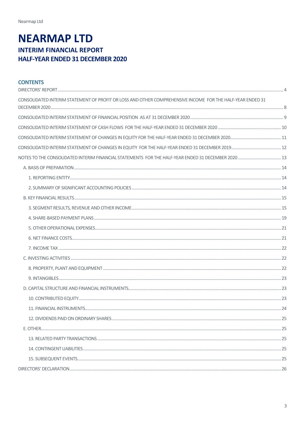## **NEARMAP LTD INTERIM FINANCIAL REPORT** HALF-YEAR ENDED 31 DECEMBER 2020

| <b>CONTENTS</b>                                                                                            |  |
|------------------------------------------------------------------------------------------------------------|--|
| CONSOLIDATED INTERIM STATEMENT OF PROFIT OR LOSS AND OTHER COMPREHENSIVE INCOME FOR THE HALF-YEAR ENDED 31 |  |
|                                                                                                            |  |
|                                                                                                            |  |
|                                                                                                            |  |
|                                                                                                            |  |
|                                                                                                            |  |
|                                                                                                            |  |
|                                                                                                            |  |
|                                                                                                            |  |
|                                                                                                            |  |
|                                                                                                            |  |
|                                                                                                            |  |
|                                                                                                            |  |
|                                                                                                            |  |
|                                                                                                            |  |
|                                                                                                            |  |
|                                                                                                            |  |
|                                                                                                            |  |
|                                                                                                            |  |
|                                                                                                            |  |
|                                                                                                            |  |
|                                                                                                            |  |
|                                                                                                            |  |
|                                                                                                            |  |
|                                                                                                            |  |
|                                                                                                            |  |
|                                                                                                            |  |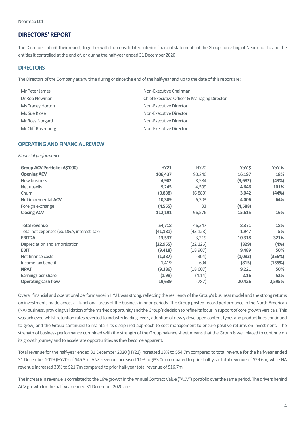## <span id="page-3-0"></span>**DIRECTORS' REPORT**

The Directors submit their report, together with the consolidated interim financial statements of the Group consisting of Nearmap Ltd and the entities it controlled at the end of, or during the half-year ended 31 December 2020.

#### **DIRECTORS**

The Directors of the Company at any time during or since the end of the half-year and up to the date of this report are:

| Mr Peter James     | Non-Executive Chairman                      |
|--------------------|---------------------------------------------|
| Dr Rob Newman      | Chief Executive Officer & Managing Director |
| Ms Tracey Horton   | Non-Executive Director                      |
| Ms Sue Klose       | Non-Executive Director                      |
| Mr Ross Norgard    | Non-Executive Director                      |
| Mr Cliff Rosenberg | Non-Executive Director                      |

### **OPERATING AND FINANCIAL REVIEW**

#### *Financial performance*

| Group ACV Portfolio (A\$'000)               | <b>HY21</b> | <b>HY20</b> | YoY\$   | YoY%   |
|---------------------------------------------|-------------|-------------|---------|--------|
| <b>Opening ACV</b>                          | 106,437     | 90,240      | 16,197  | 18%    |
| New business                                | 4,902       | 8,584       | (3,682) | (43%)  |
| Net upsells                                 | 9,245       | 4,599       | 4,646   | 101%   |
| Churn                                       | (3,838)     | (6,880)     | 3,042   | (44%)  |
| <b>Net incremental ACV</b>                  | 10,309      | 6,303       | 4,006   | 64%    |
| Foreign exchange                            | (4, 555)    | 33          | (4,588) |        |
| <b>Closing ACV</b>                          | 112,191     | 96,576      | 15,615  | 16%    |
| <b>Total revenue</b>                        | 54,718      | 46,347      | 8,371   | 18%    |
| Total net expenses (ex. D&A, interest, tax) | (41, 181)   | (43, 128)   | 1,947   | 5%     |
| <b>EBITDA</b>                               | 13,537      | 3,219       | 10,318  | 321%   |
| Depreciation and amortisation               | (22, 955)   | (22, 126)   | (829)   | (4%)   |
| <b>EBIT</b>                                 | (9, 418)    | (18,907)    | 9,489   | 50%    |
| Net finance costs                           | (1, 387)    | (304)       | (1,083) | (356%) |
| Income tax benefit                          | 1,419       | 604         | (815)   | (135%) |
| <b>NPAT</b>                                 | (9,386)     | (18,607)    | 9,221   | 50%    |
| <b>Earnings per share</b>                   | (1.98)      | (4.14)      | 2.16    | 52%    |
| <b>Operating cash flow</b>                  | 19,639      | (787)       | 20,426  | 2,595% |

Overall financial and operational performance in HY21 was strong, reflecting the resiliency of the Group's business model and the strong returns on investments made across all functional areas of the business in prior periods. The Group posted record performance in the North American (NA)business, providing validation of the market opportunity and the Group's decision to refine its focus in support of core growth verticals. This was achieved whilst retention rates reverted to industry leading levels, adoption of newly developed content types and product lines continued to grow, and the Group continued to maintain its disciplined approach to cost management to ensure positive returns on investment. The strength of business performance combined with the strength of the Group balance sheet means that the Group is well placed to continue on its growth journey and to accelerate opportunities as they become apparent.

Total revenue for the half-year ended 31 December 2020 (HY21) increased 18% to \$54.7m compared to total revenue for the half-year ended 31 December 2019 (HY20) of \$46.3m. ANZ revenue increased 11% to \$33.0m compared to prior half-year total revenue of \$29.6m, while NA revenue increased 30% to \$21.7m compared to prior half-year total revenue of \$16.7m.

The increase in revenue is correlated to the 16% growth in the Annual Contract Value ("ACV") portfolio over the same period. The drivers behind ACV growth for the half-year ended 31 December 2020 are: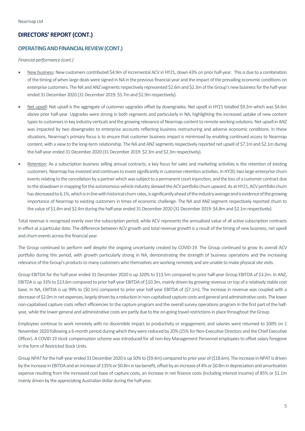## **DIRECTORS' REPORT (CONT.)**

#### **OPERATING AND FINANCIAL REVIEW (CONT.)**

#### *Financial performance (cont.)*

- New business: New customers contributed \$4.9m of incremental ACV in HY21, down 43% on prior half-year. This is due to a combination of the timing of when large deals were signed in NA in the previous financial year and the impact of the prevailing economic conditions on enterprise customers. The NA and ANZ segments respectively represented \$2.6m and \$2.3m of the Group's new business for the half-year ended 31 December 2020 (31 December 2019: \$5.7m and \$2.9m respectively).
- Net upsell: Net upsell is the aggregate of customer upgrades offset by downgrades. Net upsell in HY21 totalled \$9.2m which was \$4.6m above prior half-year. Upgrades were strong in both segments and particularly in NA, highlighting the increased uptake of new content types to customers in key industry verticals and the growing relevance of Nearmap content to remote working solutions. Net upsell in ANZ was impacted by two downgrades to enterprise accounts reflecting business restructuring and adverse economic conditions. In these situations, Nearmap's primary focus is to ensure that customer business impact is minimised by enabling continued access to Nearmap content, with a view to the long-term relationship. The NA and ANZ segments respectively reported net upsell of \$7.1m and \$2.1m during the half-year ended 31 December 2020 (31 December 2019: \$2.3m and \$2.3m respectively).
- Retention: As a subscription business selling annual contracts, a key focus for sales and marketing activities is the retention of existing customers. Nearmap has invested and continues to invest significantly in customer retention activities. In HY20, two large-enterprise churn events relating to the cancellation by a partner which was subject to a permanent court injunction, and the loss of a customer contract due to the slowdown in mapping for the autonomous vehicle industry skewed the ACV portfolio churn upward. As at HY21, ACV portfolio churn has decreased to 6.1%, which is in line with historical churn rates, is significantly ahead of the industry average and is evidence of the growing importance of Nearmap to existing customers in times of economic challenge. The NA and ANZ segment respectively reported churn to the value of \$1.4m and \$2.4m during the half-year ended 31 December 2020 (31 December 2019: \$4.8m and \$2.1m respectively).

Total revenue is recognised evenly over the subscription period, while ACV represents the annualised value of all active subscription contracts in effect at a particular date. The difference between ACV growth and total revenue growth is a result of the timing of new business, net upsell and churn events across the financial year.

The Group continued to perform well despite the ongoing uncertainty created by COVID-19. The Group continued to grow its overall ACV portfolio during this period, with growth particularly strong in NA, demonstrating the strength of business operations and the increasing relevance of the Group's products to many customers who themselves are working remotely and are unable to make physical site visits.

Group EBITDA for the half-year ended 31 December 2020 is up 320% to \$13.5m compared to prior half-year Group EBITDA of \$3.2m. In ANZ, EBITDA is up 33% to \$13.6m compared to prior half-year EBITDA of \$10.3m, mainly driven by growing revenue on top of a relatively stable cost base. In NA, EBITDA is up 99% to (\$0.1m) compared to prior year half-year EBITDA of (\$7.1m). The increase in revenue was coupled with a decrease of \$2.0m in net expenses, largely driven by a reduction in non-capitalised capture costs and general and administrative costs. The lower non-capitalised capture costs reflect efficiencies to the capture program and the overall survey operations program in the first part of the halfyear, while the lower general and administrative costs are partly due to the on-going travel restrictions in place throughout the Group.

Employees continue to work remotely with no discernible impact to productivity or engagement, and salaries were returned to 100% on 1 November 2020 following a 6-month period during which they were reduced by 20% (25% for Non-Executive Directors and the Chief Executive Officer). A COVID-19 stock compensation scheme was introduced for all non-Key Management Personnel employees to offset salary foregone in the form of Restricted Stock Units.

Group NPAT for the half-year ended 31 December 2020 is up 50% to (\$9.4m) compared to prior year of (\$18.6m). The increase in NPAT is driven by the increase in EBITDAand an increase of 135% or \$0.8m in tax benefit, offset by an increase of 4% or \$0.8m in depreciation and amortisation expense resulting from the increased cost base of capture costs, an increase in net finance costs (including interest income) of 85% or \$1.1m mainly driven by the appreciating Australian dollar during the half-year.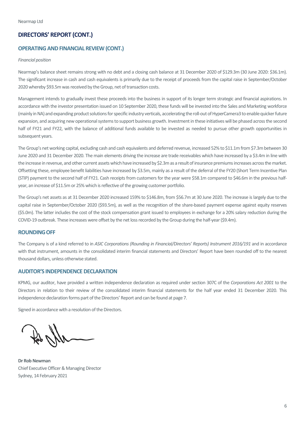## **DIRECTORS' REPORT (CONT.)**

#### **OPERATING AND FINANCIAL REVIEW (CONT.)**

#### *Financial position*

Nearmap's balance sheet remains strong with no debt and a closing cash balance at 31 December 2020 of \$129.3m (30 June 2020: \$36.1m). The significant increase in cash and cash equivalents is primarily due to the receipt of proceeds from the capital raise in September/October 2020 whereby \$93.5m was received by the Group, net of transaction costs.

Management intends to gradually invest these proceeds into the business in support of its longer term strategic and financial aspirations. In accordance with the investor presentation issued on 10 September 2020, these funds will be invested into the Sales and Marketing workforce (mainly in NA) and expanding product solutions for specific industry verticals, accelerating the roll-out of HyperCamera3 to enable quicker future expansion, and acquiring new operational systems to support business growth. Investment in these initiatives will be phased across the second half of FY21 and FY22, with the balance of additional funds available to be invested as needed to pursue other growth opportunities in subsequent years.

The Group's net working capital, excluding cash and cash equivalents and deferred revenue, increased 52% to \$11.1m from \$7.3m between 30 June 2020 and 31 December 2020. The main elements driving the increase are trade receivables which have increased by a \$3.4m in line with the increase in revenue, and other current assets which have increased by \$2.3m as a result of insurance premiums increases across the market. Offsetting these, employee benefit liabilities have increased by \$3.5m, mainly as a result of the deferral of the FY20 (Short Term Incentive Plan (STIP) payment to the second half of FY21. Cash receipts from customers for the year were \$58.1m compared to \$46.6m in the previous halfyear, an increase of \$11.5m or 25% which is reflective of the growing customer portfolio.

The Group's net assets as at 31 December 2020 increased 159% to \$146.8m, from \$56.7m at 30 June 2020. The increase is largely due to the capital raise in September/October 2020 (\$93.5m), as well as the recognition of the share-based payment expense against equity reserves (\$5.0m). The latter includes the cost of the stock compensation grant issued to employees in exchange for a 20% salary reduction during the COVID-19 outbreak. These increases were offset by the net loss recorded by the Group during the half-year (\$9.4m).

### **ROUNDINGOFF**

The Company is of a kind referred to in *ASIC Corporations (Rounding in Financial/Directors' Reports) Instrument 2016/191* and in accordance with that instrument, amounts in the consolidated interim financial statements and Directors' Report have been rounded off to the nearest thousand dollars, unless otherwise stated.

### **AUDITOR'S INDEPENDENCE DECLARATION**

KPMG, our auditor, have provided a written independence declaration as required under section 307C of the *Corporations Act 2001* to the Directors in relation to their review of the consolidated interim financial statements for the half year ended 31 December 2020. This independence declaration forms part of the Directors' Report and can be found at page 7.

Signed in accordance with a resolution of the Directors.

**Dr Rob Newman** Chief Executive Officer & Managing Director Sydney, 14 February 2021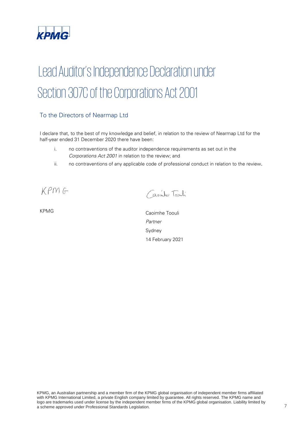

# Lead Auditor's Independence Declaration under Section 307C of the Corporations Act 2001

## To the Directors of Nearmap Ltd

I declare that, to the best of my knowledge and belief, in relation to the review of Nearmap Ltd for the half-year ended 31 December 2020 there have been:

- i. no contraventions of the auditor independence requirements as set out in the *Corporations Act 2001* in relation to the review; and
- ii. no contraventions of any applicable code of professional conduct in relation to the review.

 $KPMG$ 

Capinha Toonli

KPMG Caoimhe Toouli *Partner*  Sydney 14 February 2021

KPMG, an Australian partnership and a member firm of the KPMG global organisation of independent member firms affiliated with KPMG International Limited, a private English company limited by guarantee. All rights reserved. The KPMG name and logo are trademarks used under license by the independent member firms of the KPMG global organisation. Liability limited by a scheme approved under Professional Standards Legislation.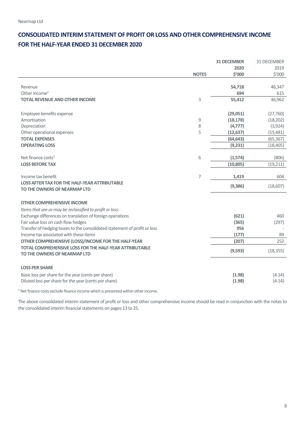## <span id="page-7-0"></span>**CONSOLIDATED INTERIM STATEMENT OF PROFIT OR LOSS AND OTHER COMPREHENSIVE INCOME FOR THE HALF-YEAR ENDED 31 DECEMBER 2020**

|                                                                            |              | <b>31 DECEMBER</b> | 31 DECEMBER |
|----------------------------------------------------------------------------|--------------|--------------------|-------------|
|                                                                            |              | 2020               | 2019        |
|                                                                            | <b>NOTES</b> | \$'000             | \$'000      |
|                                                                            |              |                    |             |
| Revenue                                                                    |              | 54,718             | 46,347      |
| Other income $1$                                                           |              | 694                | 615         |
| <b>TOTAL REVENUE AND OTHER INCOME</b>                                      | 3            | 55,412             | 46,962      |
|                                                                            |              |                    |             |
| Employee benefits expense                                                  |              | (29,051)           | (27, 760)   |
| Amortisation                                                               | 9            | (18, 178)          | (18, 202)   |
| Depreciation                                                               | 8            | (4,777)            | (3,924)     |
| Other operational expenses                                                 | 5            | (12, 637)          | (15, 481)   |
| <b>TOTAL EXPENSES</b>                                                      |              | (64, 643)          | (65, 367)   |
| <b>OPERATING LOSS</b>                                                      |              | (9,231)            | (18, 405)   |
|                                                                            |              |                    |             |
| Net finance costs <sup>1</sup>                                             | 6            | (1,574)            | (806)       |
| <b>LOSS BEFORE TAX</b>                                                     |              | (10, 805)          | (19, 211)   |
|                                                                            |              |                    |             |
| Income tax benefit                                                         | 7            | 1,419              | 604         |
| <b>LOSS AFTER TAX FOR THE HALF-YEAR ATTRIBUTABLE</b>                       |              | (9,386)            | (18,607)    |
| TO THE OWNERS OF NEARMAP LTD                                               |              |                    |             |
|                                                                            |              |                    |             |
| <b>OTHER COMPREHENSIVE INCOME</b>                                          |              |                    |             |
| Items that are or may be reclassified to profit or loss:                   |              |                    |             |
| Exchange differences on translation of foreign operations                  |              | (621)              | 460         |
| Fair value loss on cash flow hedges                                        |              | (365)              | (297)       |
| Transfer of hedging losses to the consolidated statement of profit or loss |              | 956                |             |
| Income tax associated with these items                                     |              | (177)              | 89          |
| OTHER COMPREHENSIVE (LOSS)/INCOME FOR THE HALF-YEAR                        |              | (207)              | 252         |
| <b>TOTAL COMPREHENSIVE LOSS FOR THE HALF-YEAR ATTRIBUTABLE</b>             |              | (9,593)            | (18, 355)   |
| TO THE OWNERS OF NEARMAP LTD                                               |              |                    |             |
|                                                                            |              |                    |             |
| <b>LOSS PER SHARE</b>                                                      |              |                    |             |
| Basic loss per share for the year (cents per share)                        |              | (1.98)             | (4.14)      |
| Diluted loss per share for the year (cents per share)                      |              | (1.98)             | (4.14)      |
|                                                                            |              |                    |             |

<sup>1</sup> Net finance costs exclude finance income which is presented within other income.

The above consolidated interim statement of profit or loss and other comprehensive income should be read in conjunction with the notes to the consolidated interim financial statements on pages 13 to 25.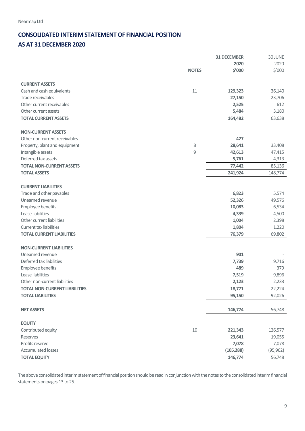## <span id="page-8-0"></span>**CONSOLIDATED INTERIM STATEMENT OF FINANCIAL POSITION AS AT 31 DECEMBER 2020**

|                                      |              | <b>31 DECEMBER</b> | 30 JUNE   |
|--------------------------------------|--------------|--------------------|-----------|
|                                      |              | 2020               | 2020      |
|                                      | <b>NOTES</b> | \$'000             | \$'000    |
|                                      |              |                    |           |
| <b>CURRENT ASSETS</b>                |              |                    |           |
| Cash and cash equivalents            | 11           | 129,323            | 36,140    |
| Trade receivables                    |              | 27,150             | 23,706    |
| Other current receivables            |              | 2,525              | 612       |
| Other current assets                 |              | 5,484              | 3,180     |
| <b>TOTAL CURRENT ASSETS</b>          |              | 164,482            | 63,638    |
| <b>NON-CURRENT ASSETS</b>            |              |                    |           |
|                                      |              | 427                |           |
| Other non-current receivables        |              |                    |           |
| Property, plant and equipment        | 8            | 28,641             | 33,408    |
| Intangible assets                    | 9            | 42,613             | 47,415    |
| Deferred tax assets                  |              | 5,761              | 4,313     |
| <b>TOTAL NON-CURRENT ASSETS</b>      |              | 77,442             | 85,136    |
| <b>TOTAL ASSETS</b>                  |              | 241,924            | 148,774   |
| <b>CURRENT LIABILITIES</b>           |              |                    |           |
| Trade and other payables             |              | 6,823              | 5,574     |
| Unearned revenue                     |              | 52,326             | 49,576    |
| Employee benefits                    |              | 10,083             | 6,534     |
| Lease liabilities                    |              | 4,339              | 4,500     |
| Other current liabilities            |              | 1,004              | 2,398     |
| <b>Current tax liabilities</b>       |              | 1,804              | 1,220     |
| <b>TOTAL CURRENT LIABILITIES</b>     |              |                    |           |
|                                      |              | 76,379             | 69,802    |
| <b>NON-CURRENT LIABILITIES</b>       |              |                    |           |
| Unearned revenue                     |              | 901                |           |
| Deferred tax liabilities             |              | 7,739              | 9,716     |
| Employee benefits                    |              | 489                | 379       |
| Lease liabilities                    |              | 7,519              | 9,896     |
| Other non-current liabilities        |              | 2,123              | 2,233     |
| <b>TOTAL NON-CURRENT LIABILITIES</b> |              | 18,771             | 22,224    |
| <b>TOTAL LIABILITIES</b>             |              | 95,150             | 92,026    |
|                                      |              |                    |           |
| <b>NET ASSETS</b>                    |              | 146,774            | 56,748    |
| <b>EQUITY</b>                        |              |                    |           |
| Contributed equity                   | $10\,$       | 221,343            | 126,577   |
| Reserves                             |              | 23,641             | 19,055    |
| Profits reserve                      |              |                    |           |
| <b>Accumulated losses</b>            |              | 7,078              | 7,078     |
|                                      |              | (105, 288)         | (95, 962) |
| <b>TOTAL EQUITY</b>                  |              | 146,774            | 56,748    |

The above consolidated interim statement of financial position should be read in conjunction with the notes to the consolidated interim financial statements on pages 13 to 25.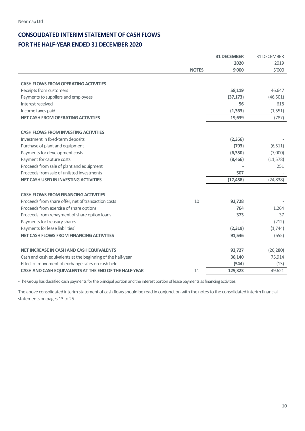## <span id="page-9-0"></span>**CONSOLIDATED INTERIM STATEMENT OF CASH FLOWS FOR THE HALF-YEAR ENDED 31 DECEMBER 2020**

|                                                                                         |              | <b>31 DECEMBER</b> | 31 DECEMBER |
|-----------------------------------------------------------------------------------------|--------------|--------------------|-------------|
|                                                                                         |              | 2020               | 2019        |
|                                                                                         | <b>NOTES</b> | \$'000             | \$′000      |
|                                                                                         |              |                    |             |
| <b>CASH FLOWS FROM OPERATING ACTIVITIES</b>                                             |              |                    |             |
| Receipts from customers                                                                 |              | 58,119             | 46,647      |
| Payments to suppliers and employees                                                     |              | (37, 173)          | (46, 501)   |
| Interest received                                                                       |              | 56                 | 618         |
| Income taxes paid                                                                       |              | (1, 363)           | (1, 551)    |
| <b>NET CASH FROM OPERATING ACTIVITIES</b>                                               |              | 19,639             | (787)       |
| <b>CASH FLOWS FROM INVESTING ACTIVITIES</b>                                             |              |                    |             |
| Investment in fixed-term deposits                                                       |              | (2, 356)           |             |
| Purchase of plant and equipment                                                         |              | (793)              | (6, 511)    |
| Payments for development costs                                                          |              | (6, 350)           | (7,000)     |
|                                                                                         |              | (8,466)            |             |
| Payment for capture costs                                                               |              |                    | (11, 578)   |
| Proceeds from sale of plant and equipment<br>Proceeds from sale of unlisted investments |              |                    | 251         |
|                                                                                         |              | 507                |             |
| <b>NET CASH USED IN INVESTING ACTIVITIES</b>                                            |              | (17, 458)          | (24, 838)   |
| <b>CASH FLOWS FROM FINANCING ACTIVITIES</b>                                             |              |                    |             |
| Proceeds from share offer, net of transaction costs                                     | 10           | 92,728             |             |
| Proceeds from exercise of share options                                                 |              | 764                | 1,264       |
| Proceeds from repayment of share option loans                                           |              | 373                | 37          |
| Payments for treasury shares                                                            |              |                    | (212)       |
| Payments for lease liabilities <sup>1</sup>                                             |              | (2,319)            | (1,744)     |
| <b>NET CASH FLOWS FROM FINANCING ACTIVITIES</b>                                         |              | 91,546             | (655)       |
|                                                                                         |              |                    |             |
| NET INCREASE IN CASH AND CASH EQUIVALENTS                                               |              | 93,727             | (26, 280)   |
| Cash and cash equivalents at the beginning of the half-year                             |              | 36,140             | 75,914      |
| Effect of movement of exchange rates on cash held                                       |              | (544)              | (13)        |
| CASH AND CASH EQUIVALENTS AT THE END OF THE HALF-YEAR                                   | 11           | 129,323            | 49,621      |

<sup>1</sup>The Group has classified cash payments for the principal portion and the interest portion of lease payments as financing activities.

The above consolidated interim statement of cash flows should be read in conjunction with the notes to the consolidated interim financial statements on pages 13 to 25.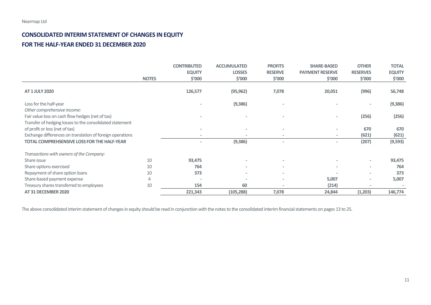## **CONSOLIDATED INTERIM STATEMENT OF CHANGES IN EQUITY FOR THE HALF-YEAR ENDED 31 DECEMBER 2020**

|                                                                                                                                             |              | <b>CONTRIBUTED</b> | <b>ACCUMULATED</b> | <b>PROFITS</b> | <b>SHARE-BASED</b>       | <b>OTHER</b>    | <b>TOTAL</b>  |
|---------------------------------------------------------------------------------------------------------------------------------------------|--------------|--------------------|--------------------|----------------|--------------------------|-----------------|---------------|
|                                                                                                                                             |              | <b>EQUITY</b>      | <b>LOSSES</b>      | <b>RESERVE</b> | <b>PAYMENT RESERVE</b>   | <b>RESERVES</b> | <b>EQUITY</b> |
|                                                                                                                                             | <b>NOTES</b> | \$′000             | \$′000             | \$′000         | \$′000                   | \$′000          | \$′000        |
| <b>AT 1 JULY 2020</b>                                                                                                                       |              | 126,577            | (95, 962)          | 7,078          | 20,051                   | (996)           | 56,748        |
| Loss for the half-year                                                                                                                      |              |                    | (9,386)            |                |                          |                 | (9, 386)      |
| Other comprehensive income:<br>Fair value loss on cash flow hedges (net of tax)<br>Transfer of hedging losses to the consolidated statement |              |                    |                    |                |                          | (256)           | (256)         |
| of profit or loss (net of tax)                                                                                                              |              |                    |                    |                | $\overline{\phantom{a}}$ | 670             | 670           |
| Exchange differences on translation of foreign operations                                                                                   |              |                    |                    |                |                          | (621)           | (621)         |
| <b>TOTAL COMPREHSENSIVE LOSS FOR THE HALF-YEAR</b>                                                                                          |              |                    | (9,386)            |                | $\sim$                   | (207)           | (9, 593)      |
| Transactions with owners of the Company:                                                                                                    |              |                    |                    |                |                          |                 |               |
| Share issue                                                                                                                                 | 10           | 93,475             |                    |                |                          |                 | 93,475        |
| Share options exercised                                                                                                                     | 10           | 764                |                    |                |                          | $\sim$          | 764           |
| Repayment of share option loans                                                                                                             | 10           | 373                |                    |                |                          |                 | 373           |
| Share-based payment expense                                                                                                                 | 4            |                    |                    |                | 5,007                    |                 | 5,007         |
| Treasury shares transferred to employees                                                                                                    | 10           | 154                | 60                 |                | (214)                    |                 |               |
| AT 31 DECEMBER 2020                                                                                                                         |              | 221,343            | (105, 288)         | 7,078          | 24,844                   | (1,203)         | 146,774       |

<span id="page-10-0"></span>The above consolidated interim statement of changes in equity should be read in conjunction with the notes to the consolidated interim financial statements on pages 13 to 25.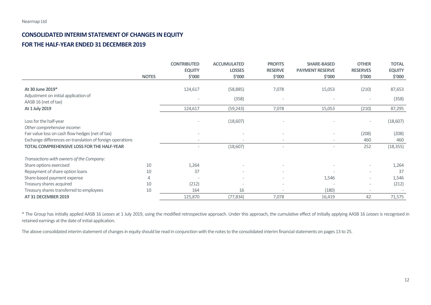## **CONSOLIDATED INTERIM STATEMENT OF CHANGES IN EQUITY FOR THE HALF-YEAR ENDED 31 DECEMBER 2019**

|                                                                                                           |              | <b>CONTRIBUTED</b><br><b>EQUITY</b> | <b>ACCUMULATED</b><br><b>LOSSES</b> | <b>PROFITS</b><br><b>RESERVE</b> | <b>SHARE-BASED</b><br><b>PAYMENT RESERVE</b> | <b>OTHER</b><br><b>RESERVES</b>   | <b>TOTAL</b><br><b>EQUITY</b> |
|-----------------------------------------------------------------------------------------------------------|--------------|-------------------------------------|-------------------------------------|----------------------------------|----------------------------------------------|-----------------------------------|-------------------------------|
|                                                                                                           | <b>NOTES</b> | \$′000                              | \$′000                              | \$′000                           | \$′000                                       | \$'000                            | \$′000                        |
| At 30 June 2019*<br>Adjustment on initial application of<br>AASB 16 (net of tax)                          |              | 124,617                             | (58, 885)<br>(358)                  | 7,078                            | 15,053                                       | (210)                             | 87,653<br>(358)               |
| At 1 July 2019                                                                                            |              | 124,617                             | (59, 243)                           | 7,078                            | 15,053                                       | (210)                             | 87,295                        |
| Loss for the half-year<br>Other comprehensive income:<br>Fair value loss on cash flow hedges (net of tax) |              | $\overline{\phantom{a}}$            | (18,607)                            |                                  |                                              | $\overline{\phantom{a}}$<br>(208) | (18, 607)<br>(208)            |
| Exchange differences on translation of foreign operations                                                 |              | $\sim$                              |                                     |                                  |                                              | 460                               | 460                           |
| <b>TOTAL COMPREHENSIVE LOSS FOR THE HALF-YEAR</b>                                                         |              |                                     | (18,607)                            |                                  |                                              | 252                               | (18, 355)                     |
| Transactions with owners of the Company:                                                                  |              |                                     |                                     |                                  |                                              |                                   |                               |
| Share options exercised                                                                                   | 10           | 1,264                               |                                     |                                  |                                              |                                   | 1,264                         |
| Repayment of share option loans                                                                           | 10           | 37                                  |                                     |                                  |                                              |                                   | 37                            |
| Share-based payment expense                                                                               | 4            |                                     |                                     |                                  | 1,546                                        |                                   | 1,546                         |
| Treasury shares acquired                                                                                  | 10           | (212)                               | $\overline{\phantom{a}}$            |                                  |                                              |                                   | (212)                         |
| Treasury shares transferred to employees                                                                  | 10           | 164                                 | 16                                  |                                  | (180)                                        |                                   |                               |
| AT 31 DECEMBER 2019                                                                                       |              | 125,870                             | (77, 834)                           | 7,078                            | 16,419                                       | 42                                | 71,575                        |

<span id="page-11-0"></span>\* The Group has initially applied AASB 16 *Leases* at 1 July 2019, using the modified retrospective approach. Under this approach, the cumulative effect of initially applying AASB 16 *Leases* is recognised in retained earnings at the date of initial application.

The above consolidated interim statement of changes in equity should be read in conjunction with the notes to the consolidated interim financial statements on pages 13 to 25.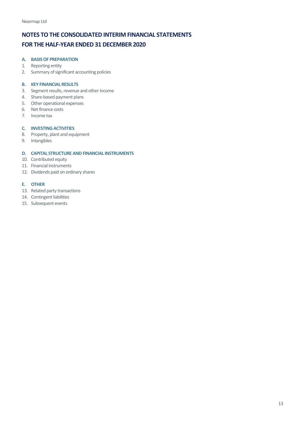#### <span id="page-12-0"></span>**A. BASIS OF PREPARATION**

- 1. Reporting entity
- 2. Summary of significant accounting policies

#### **B. KEY FINANCIAL RESULTS**

- 3. Segment results, revenue and other income
- 4. Share-based payment plans
- 5. Other operational expenses
- 6. Net finance costs
- 7. Income tax

## **C. INVESTING ACTIVITIES**

- 8. Property, plant and equipment
- 9. Intangibles

## **D. CAPITAL STRUCTURE AND FINANCIAL INSTRUMENTS**

- 10. Contributed equity
- 11. Financial instruments
- 12. Dividends paid on ordinary shares

## **E. OTHER**

- 13. Related party transactions
- 14. Contingent liabilities
- 15. Subsequent events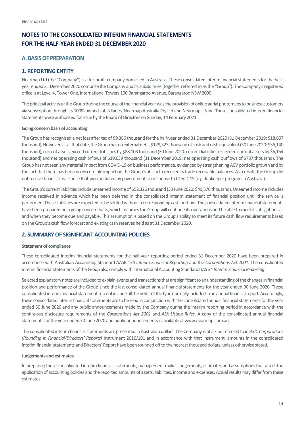## <span id="page-13-0"></span>**A. BASIS OF PREPARATION**

## <span id="page-13-1"></span>**1. REPORTING ENTITY**

Nearmap Ltd (the "Company") is a for-profit company domiciled in Australia. These consolidated interim financial statements for the halfyear ended 31 December 2020 comprise the Company and its subsidiaries (together referred to as the "Group"). The Company's registered office is at Level 4, Tower One, International Towers 100 Barangaroo Avenue, Barangaroo NSW 2000.

The principal activity of the Group during the course of the financial year was the provision of online aerial photomaps to business customers via subscription through its 100% owned subsidiaries, Nearmap Australia Pty Ltd and Nearmap US Inc. These consolidated interim financial statements were authorised for issue by the Board of Directors on Sunday, 14 February 2021.

#### **Going concern basis of accounting**

The Group has recognised a net loss after tax of \$9,386 thousand for the half-year ended 31 December 2020 (31 December 2019: \$18,607 thousand). However, as at that date, the Group has no external debt, \$129,323 thousand of cash and cash equivalent (30 June 2020: \$36,140 thousand), current assets exceed current liabilities by \$88,103 thousand (30 June 2020: current liabilities exceeded current assets by \$6,164 thousand) and net operating cash inflows of \$19,639 thousand (31 December 2019: net operating cash outflows of \$787 thousand). The Group has not seen any material impact from COVID-19 on business performance, evidenced by strengthening ACV portfolio growth and by the fact that there has been no discernible impact on the Group's ability to recover its trade receivable balances. As a result, the Group did not receive financial assistance that were initiated by governmentsin response to COVID-19 (e.g. Jobkeeper program in Australia).

The Group's current liabilities include unearned income of \$52,326 thousand (30 June 2020: \$49,576 thousand). Unearned income includes income received in advance which has been deferred in the consolidated interim statement of financial position until the service is performed. These liabilities are expected to be settled without a corresponding cash outflow. The consolidated interim financial statements have been prepared on a going concern basis, which assumes the Group will continue its operations and be able to meet its obligations as and when they become due and payable. This assumption is based on the Group's ability to meet its future cash flow requirements based on the Group's cash flow forecast and existing cash reserves held as at 31 December 2020.

## <span id="page-13-2"></span>**2. SUMMARY OF SIGNIFICANT ACCOUNTING POLICIES**

#### **Statement of compliance**

These consolidated interim financial statements for the half-year reporting period ended 31 December 2020 have been prepared in accordance with Australian Accounting Standard AASB 134 *Interim Financial Reporting* and the *Corporations Act 2001*. The consolidated interim financial statements of the Group also comply with International Accounting Standards IAS 34 *Interim Financial Reporting*.

Selected explanatory notes are included to explain events and transactions that are significant to an understanding of the changes in financial position and performance of the Group since the last consolidated annual financial statements for the year ended 30 June 2020. These consolidated interim financial statements do not include all the notes of the type normally included in an annual financial report. Accordingly, these consolidated interim financial statements are to be read in conjunction with the consolidated annual financial statements for the year ended 30 June 2020 and any public announcements made by the Company during the interim reporting period in accordance with the continuous disclosure requirements of the *Corporations Act 2001* and *ASX Listing Rules*. A copy of the consolidated annual financial statements for the year ended 30 June 2020 and public announcements is available at www.nearmap.com.au.

The consolidated interim financial statements are presented in Australian dollars. The Company is of a kind referred to in *ASIC Corporations (Rounding in Financial/Directors' Reports)* Instrument 2016/191 and in accordance with that instrument, amounts in the consolidated interim financial statements and Directors' Report have been rounded off to the nearest thousand dollars, unless otherwise stated.

#### **Judgements and estimates**

In preparing these consolidated interim financial statements, management makes judgements, estimates and assumptions that affect the application of accounting policies and the reported amounts of assets, liabilities, income and expenses. Actual results may differ from these estimates.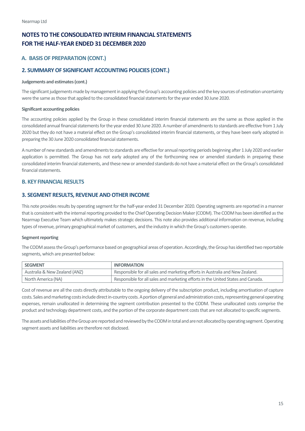## **A. BASIS OF PREPARATION (CONT.)**

## **2. SUMMARY OF SIGNIFICANT ACCOUNTING POLICIES (CONT.)**

#### **Judgements and estimates (cont.)**

The significant judgements made by management in applying the Group's accounting policies and the key sources of estimation uncertainty were the same as those that applied to the consolidated financial statements for the year ended 30 June 2020.

#### **Significant accounting policies**

The accounting policies applied by the Group in these consolidated interim financial statements are the same as those applied in the consolidated annual financial statements for the year ended 30 June 2020. A number of amendments to standards are effective from 1 July 2020 but they do not have a material effect on the Group's consolidated interim financial statements, or they have been early adopted in preparing the 30 June 2020 consolidated financial statements.

A number of new standards and amendments to standards are effective for annual reporting periods beginning after 1 July 2020 and earlier application is permitted. The Group has not early adopted any of the forthcoming new or amended standards in preparing these consolidated interim financial statements, and these new or amended standards do not have a material effect on the Group's consolidated financial statements.

## <span id="page-14-0"></span>**B. KEY FINANCIAL RESULTS**

## <span id="page-14-1"></span>**3. SEGMENT RESULTS, REVENUE AND OTHER INCOME**

This note provides results by operating segment for the half-year ended 31 December 2020. Operating segments are reported in a manner that is consistent with the internal reporting provided to the Chief Operating Decision Maker (CODM). The CODM has been identified as the Nearmap Executive Team which ultimately makes strategic decisions. This note also provides additional information on revenue, including types of revenue, primary geographical market of customers, and the industry in which the Group's customers operate.

#### **Segment reporting**

The CODM assess the Group's performance based on geographical areas of operation. Accordingly, the Group has identified two reportable segments, which are presented below:

| <b>SEGMENT</b>                | <b>INFORMATION</b>                                                               |
|-------------------------------|----------------------------------------------------------------------------------|
| Australia & New Zealand (ANZ) | Responsible for all sales and marketing efforts in Australia and New Zealand.    |
| North America (NA)            | Responsible for all sales and marketing efforts in the United States and Canada. |

Cost of revenue are all the costs directly attributable to the ongoing delivery of the subscription product, including amortisation of capture costs. Sales and marketing costs include direct in-country costs. A portion of general and administration costs, representing general operating expenses, remain unallocated in determining the segment contribution presented to the CODM. These unallocated costs comprise the product and technology department costs, and the portion of the corporate department costs that are not allocated to specific segments.

The assets and liabilities of the Group are reported and reviewed by the CODM in total and are not allocated by operating segment. Operating segment assets and liabilities are therefore not disclosed.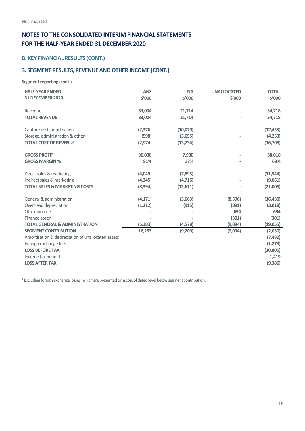## **B. KEY FINANCIAL RESULTS (CONT.)**

## **3. SEGMENT RESULTS, REVENUE AND OTHER INCOME (CONT.)**

**Segment reporting (cont.)**

| <b>HALF-YEAR ENDED</b>                            | <b>ANZ</b> | <b>NA</b>     | <b>UNALLOCATED</b>       | <b>TOTAL</b> |
|---------------------------------------------------|------------|---------------|--------------------------|--------------|
| <b>31 DECEMBER 2020</b>                           | \$'000     | <b>\$'000</b> | \$'000                   | \$'000       |
|                                                   |            |               |                          |              |
| Revenue                                           | 33,004     | 21,714        |                          | 54,718       |
| <b>TOTAL REVENUE</b>                              | 33,004     | 21,714        |                          | 54,718       |
|                                                   |            |               |                          |              |
| Capture cost amortisation                         | (2, 376)   | (10,079)      |                          | (12, 455)    |
| Storage, administration & other                   | (598)      | (3,655)       |                          | (4, 253)     |
| <b>TOTAL COST OF REVENUE</b>                      | (2, 974)   | (13, 734)     | $\bar{ }$                | (16,708)     |
|                                                   |            |               |                          |              |
| <b>GROSS PROFIT</b>                               | 30,030     | 7,980         |                          | 38,010       |
| <b>GROSS MARGIN %</b>                             | 91%        | 37%           |                          | 69%          |
|                                                   |            |               |                          |              |
| Direct sales & marketing                          | (4,049)    | (7,895)       |                          | (11, 944)    |
| Indirect sales & marketing                        | (4, 345)   | (4, 716)      |                          | (9,061)      |
| <b>TOTAL SALES &amp; MARKETING COSTS</b>          | (8, 394)   | (12,611)      | $\overline{\phantom{a}}$ | (21,005)     |
|                                                   |            |               |                          |              |
| General & administration                          | (4, 171)   | (3,663)       | (8,596)                  | (16, 430)    |
| Overhead depreciation                             | (1,212)    | (915)         | (891)                    | (3,018)      |
| Other income                                      |            |               | 694                      | 694          |
| Finance $costs1$                                  |            |               | (301)                    | (301)        |
| <b>TOTAL GENERAL &amp; ADMINISTRATION</b>         | (5, 383)   | (4, 578)      | (9,094)                  | (19,055)     |
| <b>SEGMENT CONTRIBUTION</b>                       | 16,253     | (9,209)       | (9,094)                  | (2,050)      |
| Amortisation & depreciation of unallocated assets |            |               |                          | (7, 482)     |
| Foreign exchange loss                             |            |               |                          | (1, 273)     |
| <b>LOSS BEFORE TAX</b>                            |            |               |                          | (10, 805)    |
| Income tax benefit                                |            |               |                          | 1,419        |
| <b>LOSS AFTER TAX</b>                             |            |               |                          | (9,386)      |
|                                                   |            |               |                          |              |

<sup>1</sup> Excluding foreign exchange losses, which are presented on a consolidated level below segment contribution.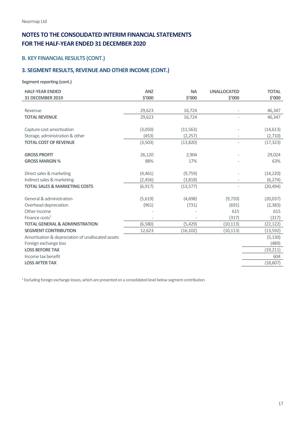## **B. KEY FINANCIAL RESULTS (CONT.)**

## **3. SEGMENT RESULTS, REVENUE AND OTHER INCOME (CONT.)**

**Segment reporting (cont.)**

| <b>HALF-YEAR ENDED</b>                            | <b>ANZ</b> | <b>NA</b>    | <b>UNALLOCATED</b>       | <b>TOTAL</b> |
|---------------------------------------------------|------------|--------------|--------------------------|--------------|
| <b>31 DECEMBER 2019</b>                           | \$'000     | <b>S'000</b> | \$'000                   | \$'000       |
|                                                   |            |              |                          |              |
| Revenue                                           | 29,623     | 16,724       |                          | 46,347       |
| <b>TOTAL REVENUE</b>                              | 29,623     | 16,724       |                          | 46,347       |
|                                                   |            |              |                          |              |
| Capture cost amortisation                         | (3,050)    | (11, 563)    |                          | (14, 613)    |
| Storage, administration & other                   | (453)      | (2,257)      |                          | (2,710)      |
| <b>TOTAL COST OF REVENUE</b>                      | (3,503)    | (13,820)     | $\overline{\phantom{a}}$ | (17, 323)    |
|                                                   |            |              |                          |              |
| <b>GROSS PROFIT</b>                               | 26,120     | 2,904        |                          | 29,024       |
| <b>GROSS MARGIN %</b>                             | 88%        | 17%          |                          | 63%          |
| Direct sales & marketing                          | (4,461)    | (9,759)      |                          | (14, 220)    |
| Indirect sales & marketing                        | (2,456)    | (3,818)      |                          | (6, 274)     |
| <b>TOTAL SALES &amp; MARKETING COSTS</b>          | (6, 917)   | (13, 577)    |                          | (20, 494)    |
|                                                   |            |              |                          |              |
| General & administration                          | (5,619)    | (4,698)      | (9,720)                  | (20,037)     |
| Overhead depreciation                             | (961)      | (731)        | (691)                    | (2, 383)     |
| Other income                                      |            |              | 615                      | 615          |
| Finance $costs1$                                  |            |              | (317)                    | (317)        |
| <b>TOTAL GENERAL &amp; ADMINISTRATION</b>         | (6,580)    | (5,429)      | (10, 113)                | (22, 122)    |
| <b>SEGMENT CONTRIBUTION</b>                       | 12,623     | (16, 102)    | (10, 113)                | (13, 592)    |
| Amortisation & depreciation of unallocated assets |            |              |                          | (5, 130)     |
| Foreign exchange loss                             |            |              |                          | (489)        |
| <b>LOSS BEFORE TAX</b>                            |            |              |                          | (19, 211)    |
| Income tax benefit                                |            |              |                          | 604          |
| <b>LOSS AFTER TAX</b>                             |            |              |                          | (18,607)     |

<sup>1</sup> Excluding foreign exchange losses, which are presented on a consolidated level below segment contribution.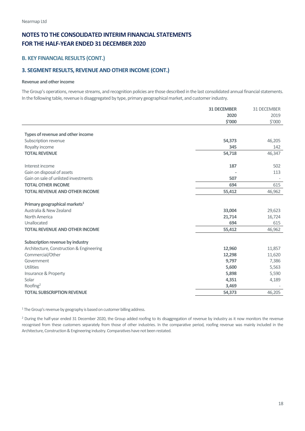## **B. KEY FINANCIAL RESULTS (CONT.)**

## **3. SEGMENT RESULTS, REVENUE AND OTHER INCOME (CONT.)**

#### **Revenue and other income**

The Group's operations, revenue streams, and recognition policies are those described in the last consolidated annual financial statements. In the following table, revenue is disaggregated by type, primary geographical market, and customer industry.

|                                           | <b>31 DECEMBER</b> | 31 DECEMBER |
|-------------------------------------------|--------------------|-------------|
|                                           | 2020               | 2019        |
|                                           | \$'000             | \$'000      |
|                                           |                    |             |
| Types of revenue and other income         |                    |             |
| Subscription revenue                      | 54,373             | 46,205      |
| Royalty income                            | 345                | 142         |
| <b>TOTAL REVENUE</b>                      | 54,718             | 46,347      |
| Interest income                           | 187                | 502         |
| Gain on disposal of assets                |                    | 113         |
| Gain on sale of unlisted investments      | 507                |             |
| <b>TOTAL OTHER INCOME</b>                 | 694                | 615         |
| <b>TOTAL REVENUE AND OTHER INCOME</b>     | 55,412             | 46,962      |
|                                           |                    |             |
| Primary geographical markets <sup>1</sup> |                    |             |
| Australia & New Zealand                   | 33,004             | 29,623      |
| North America                             | 21,714             | 16,724      |
| Unallocated                               | 694                | 615         |
| <b>TOTAL REVENUE AND OTHER INCOME</b>     | 55,412             | 46,962      |
| Subscription revenue by industry          |                    |             |
| Architecture, Construction & Engineering  | 12,960             | 11,857      |
| Commercial/Other                          | 12,298             | 11,620      |
| Government                                | 9,797              | 7,386       |
| Utilities                                 | 5,600              | 5,563       |
| Insurance & Property                      | 5,898              | 5,590       |
| Solar                                     | 4,351              | 4,189       |
| Roofing <sup>2</sup>                      | 3,469              |             |
| <b>TOTAL SUBSCRIPTION REVENUE</b>         | 54,373             | 46,205      |
|                                           |                    |             |

<sup>1</sup> The Group's revenue by geography is based on customer billing address.

<sup>2</sup> During the half-year ended 31 December 2020, the Group added roofing to its disaggregation of revenue by industry as it now monitors the revenue recognised from these customers separately from those of other industries. In the comparative period, roofing revenue was mainly included in the Architecture, Construction & Engineering industry. Comparatives have not been restated.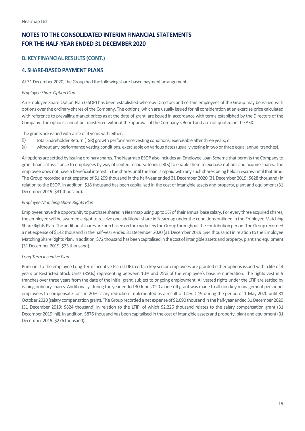## **B. KEY FINANCIAL RESULTS (CONT.)**

## <span id="page-18-0"></span>**4. SHARE-BASED PAYMENT PLANS**

At 31 December 2020, the Group had the following share-based payment arrangements.

#### *Employee Share Option Plan*

An Employee Share Option Plan (ESOP) has been established whereby Directors and certain employees of the Group may be issued with options over the ordinary shares of the Company. The options, which are usually issued for nil consideration at an exercise price calculated with reference to prevailing market prices as at the date of grant, are issued in accordance with terms established by the Directors of the Company. The options cannot be transferred without the approval of the Company's Board and are not quoted on the ASX.

The grants are issued with a life of 4 years with either:

- (i) total Shareholder Return (TSR) growth performance vesting conditions, exercisable after three years; or
- (ii) without any performance vesting conditions, exercisable on various dates (usually vesting in two or three equal annual tranches).

All options are settled by issuing ordinary shares. The Nearmap ESOP also includes an Employee Loan Scheme that permits the Company to grant financial assistance to employees by way of limited recourse loans (LRLs) to enable them to exercise options and acquire shares. The employee does not have a beneficial interest in the shares until the loan is repaid with any such shares being held in escrowuntil that time. The Group recorded a net expense of \$1,209 thousand in the half-year ended 31 December 2020 (31 December 2019: \$628 thousand) in relation to the ESOP. In addition, \$18 thousand has been capitalised in the cost of intangible assets and property, plant and equipment (31 December 2019: \$31 thousand).

#### *Employee Matching Share Rights Plan*

Employees have the opportunity to purchase shares in Nearmap using up to 5% of their annual base salary. For every three acquired shares, the employee will be awarded a right to receive one additional share in Nearmap under the conditions outlined in the Employee Matching Share Rights Plan. The additional shares are purchased on the market by the Group throughout the contribution period. The Group recorded a net expense of \$142 thousand in the half-year ended 31 December 2020 (31 December 2019: \$94 thousand) in relation to the Employee Matching Share Rights Plan. In addition, \$72 thousand has been capitalised in the cost of intangible assets and property, plant and equipment (31 December 2019: \$23 thousand).

#### *Long Term Incentive Plan*

Pursuant to the employee Long Term Incentive Plan (LTIP), certain key senior employees are granted either options issued with a life of 4 years or Restricted Stock Units (RSUs) representing between 10% and 25% of the employee's base remuneration. The rights vest in 9 tranches over three years from the date of the initial grant, subject to ongoing employment. All vested rights under the LTIP are settled by issuing ordinary shares. Additionally, during the year ended 30 June 2020 a one-off grant was made to all non-key management personnel employees to compensate for the 20% salary reduction implemented as a result of COVID-19 during the period of 1 May 2020 until 31 October 2020 (salary compensation grant). The Group recorded a net expense of \$2,690thousand in the half-year ended 31 December 2020 (31 December 2019: \$824 thousand) in relation to the LTIP, of which \$2,226 thousand relates to the salary compensation grant (31 December 2019: nil). In addition, \$876 thousand has been capitalised in the cost of intangible assets and property, plant and equipment (31 December 2019: \$276 thousand).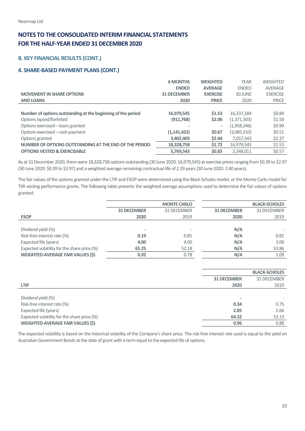## **B. KEY FINANCIAL RESULTS (CONT.)**

## **4. SHARE-BASED PAYMENT PLANS (CONT.)**

|                                                              | <b>6 MONTHS</b>    | <b>WEIGHTED</b> | <b>YEAR</b>  | WEIGHTED        |
|--------------------------------------------------------------|--------------------|-----------------|--------------|-----------------|
|                                                              | <b>ENDED</b>       | <b>AVERAGE</b>  | <b>ENDED</b> | <b>AVERAGE</b>  |
| <b>MOVEMENT IN SHARE OPTIONS</b>                             | <b>31 DECEMBER</b> | <b>EXERCISE</b> | 30 JUNE      | <b>EXERCISE</b> |
| <b>AND LOANS</b>                                             | 2020               | <b>PRICE</b>    | 2020         | <b>PRICE</b>    |
|                                                              |                    |                 |              |                 |
| Number of options outstanding at the beginning of the period | 16,979,545         | \$1.53          | 16,337,184   | \$0.84          |
| Options lapsed/forfeited                                     | (911, 768)         | \$2.06          | (1,371,303)  | \$1.58          |
| Options exercised – loans granted                            |                    | ٠               | (1,958,346)  | \$0.90          |
| Options exercised – cash payment                             | (1,141,422)        | <b>\$0.67</b>   | (3,085,333)  | \$0.51          |
| Options granted                                              | 3,402,403          | \$2.44          | 7,057,343    | \$2.37          |
| NUMBER OF OPTIONS OUTSTANDING AT THE END OF THE PERIOD       | 18,328,758         | \$1.72          | 16,979,545   | \$1.53          |
| <b>OPTIONS VESTED &amp; EXERCISABLE</b>                      | 5,769,543          | <b>\$0.83</b>   | 2.348.011    | \$0.57          |

As at 31 December 2020, there were 18,328,758 options outstanding (30 June 2020: 16,979,545) at exercise prices ranging from \$0.39 to \$2.97 (30 June 2020: \$0.39 to \$2.97) and a weighted average remaining contractual life of 2.29 years (30 June 2020: 2.40 years).

The fair values of the options granted under the LTIP and ESOP were determined using the Black-Scholes model, or the Monte Carlo model for TSR vesting performance grants. The following table presents the weighted average assumptions used to determine the fair values of options granted:

|                                             |                    | <b>MONTE CARLO</b> |                    | <b>BLACK-SCHOLES</b> |
|---------------------------------------------|--------------------|--------------------|--------------------|----------------------|
|                                             | <b>31 DECEMBER</b> | 31 DECEMBER        | <b>31 DECEMBER</b> | 31 DECEMBER          |
| <b>ESOP</b>                                 | 2020               | 2019               | 2020               | 2019                 |
|                                             |                    |                    |                    |                      |
| Dividend yield (%)                          | $\blacksquare$     |                    | N/A                |                      |
| Risk-free interest rate (%)                 | 0.19               | 0.85               | N/A                | 0.82                 |
| Expected life (years)                       | 4.00               | 4.00               | N/A                | 3.00                 |
| Expected volatility for the share price (%) | 65.25              | 52.18              | N/A                | 53.86                |
| <b>WEIGHTED-AVERAGE FAIR VALUES (\$)</b>    | 0.92               | 0.78               | N/A                | 1.09                 |

|                                             |                    | <b>BLACK-SCHOLES</b> |
|---------------------------------------------|--------------------|----------------------|
|                                             | <b>31 DECEMBER</b> | 31 DECEMBER          |
| <b>LTIP</b>                                 | 2020               | 2019                 |
|                                             |                    |                      |
| Dividend yield (%)                          |                    |                      |
| Risk-free interest rate (%)                 | 0.34               | 0.75                 |
| Expected life (years)                       | 2.85               | 2.66                 |
| Expected volatility for the share price (%) | 64.32              | 53.13                |
| <b>WEIGHTED-AVERAGE FAIR VALUES (\$)</b>    | 0.96               | 0.88                 |

The expected volatility is based on the historical volatility of the Company's share price. The risk-free interest rate used is equal to the yield on Australian Government Bonds at the date of grant with a term equal to the expected life of options.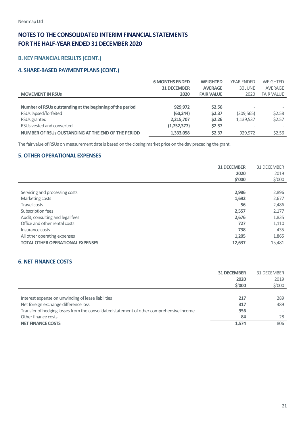## **B. KEY FINANCIAL RESULTS (CONT.)**

## **4. SHARE-BASED PAYMENT PLANS (CONT.)**

|                                                           | <b>6 MONTHS ENDED</b> | <b>WEIGHTED</b>   | <b>YEAR ENDED</b> | <b>WEIGHTED</b>   |
|-----------------------------------------------------------|-----------------------|-------------------|-------------------|-------------------|
|                                                           | <b>31 DECEMBER</b>    | <b>AVERAGE</b>    | 30 JUNE           | AVERAGE           |
| <b>MOVEMENT IN RSUS</b>                                   | 2020                  | <b>FAIR VALUE</b> | 2020              | <b>FAIR VALUE</b> |
|                                                           |                       |                   |                   |                   |
| Number of RSUs outstanding at the beginning of the period | 929.972               | \$2.56            |                   |                   |
| RSUs lapsed/forfeited                                     | (60, 244)             | \$2.37            | (209, 565)        | \$2.58            |
| RSUs granted                                              | 2,215,707             | \$2.26            | 1,139,537         | \$2.57            |
| RSUs vested and converted                                 | (1,752,377)           | \$2.57            |                   |                   |
| NUMBER OF RSUS OUSTANDING AT THE END OF THE PERIOD        | 1,333,058             | \$2.37            | 929.972           | \$2.56            |

The fair value of RSUs on measurement date is based on the closing market price on the day preceding the grant.

## <span id="page-20-0"></span>**5. OTHER OPERATIONAL EXPENSES**

|                                         | <b>31 DECEMBER</b> | 31 DECEMBER     |
|-----------------------------------------|--------------------|-----------------|
|                                         | 2020               | 2019            |
|                                         | \$′000             | $$^{\prime}000$ |
|                                         |                    |                 |
| Servicing and processing costs          | 2,986              | 2,896           |
| Marketing costs                         | 1,692              | 2,677           |
| Travel costs                            | 56                 | 2,486           |
| Subscription fees                       | 2,557              | 2,177           |
| Audit, consulting and legal fees        | 2,676              | 1,835           |
| Office and other rental costs           | 727                | 1,110           |
| Insurance costs                         | 738                | 435             |
| All other operating expenses            | 1,205              | 1,865           |
| <b>TOTAL OTHER OPERATIONAL EXPENSES</b> | 12,637             | 15,481          |

## <span id="page-20-1"></span>**6. NET FINANCE COSTS**

|                                                                                          | <b>31 DECEMBER</b> | 31 DECEMBER     |
|------------------------------------------------------------------------------------------|--------------------|-----------------|
|                                                                                          | 2020               | 2019            |
|                                                                                          | \$′000             | $$^{\prime}000$ |
|                                                                                          |                    |                 |
| Interest expense on unwinding of lease liabilities                                       | 217                | 289             |
| Net foreign exchange difference loss                                                     | 317                | 489             |
| Transfer of hedging losses from the consolidated statement of other comprehensive income | 956                |                 |
| Other finance costs                                                                      | 84                 | 28              |
| <b>NET FINANCE COSTS</b>                                                                 | 1.574              | 806             |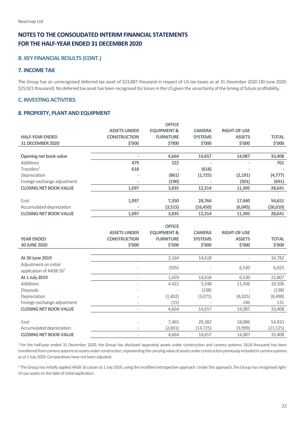## **B. KEY FINANCIAL RESULTS (CONT.)**

## <span id="page-21-0"></span>**7. INCOME TAX**

The Group has an unrecognised deferred tax asset of \$23,887 thousand in respect of US tax losses as at 31 December 2020 (30 June 2020: \$25,921 thousand). No deferred tax asset has been recognised for losses in the US given the uncertainty of the timing of future profitability.

## <span id="page-21-1"></span>**C. INVESTING ACTIVITIES**

## <span id="page-21-2"></span>**8. PROPERTY, PLANT AND EQUIPMENT**

|                                     |                     | <b>OFFICE</b>          |                     |                     |                     |
|-------------------------------------|---------------------|------------------------|---------------------|---------------------|---------------------|
|                                     | <b>ASSETS UNDER</b> | <b>EQUIPMENT &amp;</b> | <b>CAMERA</b>       | <b>RIGHT-OF-USE</b> |                     |
| <b>HALF-YEAR ENDED</b>              | <b>CONSTRUCTION</b> | <b>FURNITURE</b>       | <b>SYSTEMS</b>      | <b>ASSETS</b>       | <b>TOTAL</b>        |
| <b>31 DECEMBER 2020</b>             | \$'000              | \$'000                 | \$'000              | \$'000              | \$'000              |
|                                     |                     |                        |                     |                     |                     |
| Opening net book value              | $\overline{a}$      | 4,664                  | 14,657              | 14,087              | 33,408              |
| Additions                           | 479                 | 222                    |                     |                     | 701                 |
| Transfers <sup>1</sup>              | 618                 |                        | (618)               |                     |                     |
| Depreciation                        |                     | (861)                  | (1,725)             | (2, 191)            | (4, 777)            |
| Foreign exchange adjustment         |                     | (190)                  |                     | (501)               | (691)               |
| <b>CLOSING NET BOOK VALUE</b>       | 1,097               | 3,835                  | 12,314              | 11,395              | 28,641              |
|                                     |                     |                        |                     |                     |                     |
| Cost                                | 1,097               | 7,350                  | 28,764              | 17,440              | 54,651              |
| Accumulated depreciation            |                     | (3,515)                | (16, 450)           | (6,045)             | (26, 010)           |
| <b>CLOSING NET BOOK VALUE</b>       | 1,097               | 3,835                  | 12,314              | 11,395              | 28,641              |
|                                     |                     |                        |                     |                     |                     |
|                                     |                     | <b>OFFICE</b>          |                     |                     |                     |
|                                     |                     |                        |                     |                     |                     |
|                                     | <b>ASSETS UNDER</b> | <b>EQUIPMENT &amp;</b> | <b>CAMERA</b>       | <b>RIGHT-OF-USE</b> |                     |
| <b>YEAR ENDED</b>                   | <b>CONSTRUCTION</b> | <b>FURNITURE</b>       | <b>SYSTEMS</b>      | <b>ASSETS</b>       | <b>TOTAL</b>        |
| <b>30 JUNE 2020</b>                 | \$′000              | \$'000                 | \$'000              | \$'000              | \$'000              |
|                                     |                     |                        |                     |                     |                     |
| At 30 June 2019                     |                     | 2,164                  | 14,618              |                     | 16,782              |
| Adjustment on initial               |                     |                        |                     |                     |                     |
| application of AASB 16 <sup>2</sup> |                     | (505)                  |                     | 6,530               | 6,025               |
| At 1 July 2019                      | $\overline{a}$      | 1,659                  | 14,618              | 6,530               | 22,807              |
| Additions                           |                     | 4,422                  | 3,248               | 11,436              | 19,106              |
| <b>Disposals</b>                    |                     |                        | (138)               |                     | (138)               |
| Depreciation                        |                     | (1,402)                | (3,071)             | (4,025)             | (8,498)             |
| Foreign exchange adjustment         | $\overline{a}$      | (15)                   |                     | 146                 | 131                 |
| <b>CLOSING NET BOOK VALUE</b>       |                     | 4,664                  | 14,657              | 14,087              | 33,408              |
|                                     |                     |                        |                     |                     |                     |
| Cost                                |                     | 7,465                  | 29,382              | 18,086              | 54,933              |
| Accumulated depreciation            |                     | (2,801)                | (14, 725)<br>14,657 | (3,999)<br>14,087   | (21, 525)<br>33,408 |

<sup>1</sup> For the half-year ended 31 December 2020, the Group has disclosed separately assets under construction and camera systems. \$618 thousand has been transferred from camera systems to assets under construction, representing the carrying value of assets under construction previously included in camera systems as at 1 July 2020. Comparatives have not been adjusted.

<sup>2</sup> The Group has initially applied AASB 16 *Leases* at 1 July 2019, using the modified retrospective approach. Under this approach, the Group has recognised rightof-use assets on the date of initial application.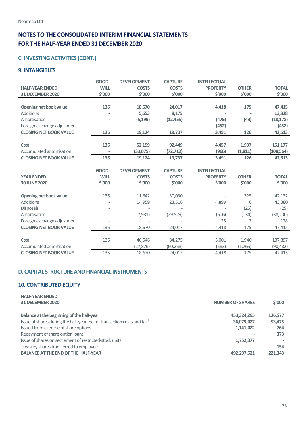## **C. INVESTING ACTIVITIES (CONT.)**

## <span id="page-22-0"></span>**9. INTANGIBLES**

|                               | GOOD-       | <b>DEVELOPMENT</b> | <b>CAPTURE</b> | <b>INTELLECTUAL</b> |              |              |
|-------------------------------|-------------|--------------------|----------------|---------------------|--------------|--------------|
| <b>HALF-YEAR ENDED</b>        | <b>WILL</b> | <b>COSTS</b>       | <b>COSTS</b>   | <b>PROPERTY</b>     | <b>OTHER</b> | <b>TOTAL</b> |
| <b>31 DECEMBER 2020</b>       | \$′000      | \$′000             | \$'000         | \$′000              | \$'000       | \$′000       |
|                               |             |                    |                |                     |              |              |
| <b>Opening net book value</b> | 135         | 18,670             | 24,017         | 4,418               | 175          | 47,415       |
| <b>Additions</b>              |             | 5,653              | 8,175          |                     |              | 13,828       |
| Amortisation                  |             | (5, 199)           | (12, 455)      | (475)               | (49)         | (18, 178)    |
| Foreign exchange adjustment   |             |                    |                | (452)               |              | (452)        |
| <b>CLOSING NET BOOK VALUE</b> | 135         | 19,124             | 19,737         | 3,491               | 126          | 42,613       |
|                               |             |                    |                |                     |              |              |
| Cost                          | 135         | 52,199             | 92,449         | 4,457               | 1,937        | 151,177      |
| Accumulated amortisation      |             | (33,075)           | (72, 712)      | (966)               | (1, 811)     | (108, 564)   |
| <b>CLOSING NET BOOK VALUE</b> | 135         | 19,124             | 19,737         | 3,491               | 126          | 42,613       |
|                               |             |                    |                |                     |              |              |
|                               |             |                    |                |                     |              |              |
|                               | GOOD-       | <b>DEVELOPMENT</b> | <b>CAPTURE</b> | <b>INTELLECTUAL</b> |              |              |
| <b>YEAR ENDED</b>             | <b>WILL</b> | <b>COSTS</b>       | <b>COSTS</b>   | <b>PROPERTY</b>     | <b>OTHER</b> | <b>TOTAL</b> |
| <b>30 JUNE 2020</b>           | \$′000      | \$′000             | \$'000         | \$'000              | \$'000       | \$'000       |
|                               |             |                    |                |                     |              |              |
| <b>Opening net book value</b> | 135         | 11,642             | 30,030         |                     | 325          | 42,132       |
| <b>Additions</b>              |             | 14,959             | 23,516         | 4,899               | 6            | 43,380       |
| <b>Disposals</b>              |             |                    |                |                     | (25)         | (25)         |
| Amortisation                  |             | (7, 931)           | (29, 529)      | (606)               | (134)        | (38, 200)    |
| Foreign exchange adjustment   |             |                    |                | 125                 | 3            | 128          |
| <b>CLOSING NET BOOK VALUE</b> | 135         | 18,670             | 24,017         | 4,418               | 175          | 47,415       |
|                               |             |                    |                |                     |              |              |
| Cost                          | 135         | 46,546             | 84,275         | 5,001               | 1,940        | 137,897      |
| Accumulated amortisation      |             | (27, 876)          | (60, 258)      | (583)               | (1,765)      | (90, 482)    |

## <span id="page-22-1"></span>**D. CAPITAL STRUCTURE AND FINANCIAL INSTRUMENTS**

## <span id="page-22-2"></span>**10. CONTRIBUTED EQUITY**

| <b>HALF-YEAR ENDED</b><br><b>31 DECEMBER 2020</b>                                   | <b>NUMBER OF SHARES</b> | \$′000  |
|-------------------------------------------------------------------------------------|-------------------------|---------|
| Balance at the beginning of the half-year                                           | 453,324,295             | 126,577 |
| Issue of shares during the half-year, net of transaction costs and tax <sup>1</sup> | 36,079,427              | 93,475  |
| Issued from exercise of share options                                               | 1,141,422               | 764     |
| Repayment of share option loans <sup>2</sup>                                        |                         | 373     |
| Issue of shares on settlement of restricted-stock units                             | 1,752,377               |         |
| Treasury shares transferred to employees                                            |                         | 154     |
| <b>BALANCE AT THE END OF THE HALF-YEAR</b>                                          | 492,297,521             | 221,343 |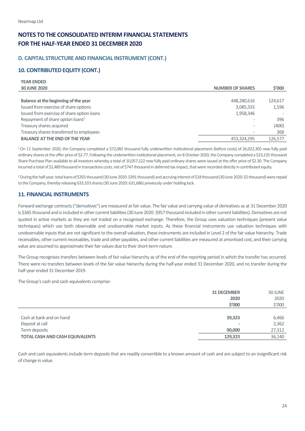**YEAR ENDED** 

## **NOTES TO THE CONSOLIDATED INTERIM FINANCIAL STATEMENTS FOR THE HALF-YEAR ENDED 31 DECEMBER 2020**

## **D. CAPITAL STRUCTURE AND FINANCIAL INSTRUMENT (CONT.)**

## **10. CONTRIBUTED EQUITY (CONT.)**

| <b>YEAR ENDED</b>                            |                          |         |
|----------------------------------------------|--------------------------|---------|
| <b>30 JUNE 2020</b>                          | <b>NUMBER OF SHARES</b>  | \$′000  |
|                                              |                          |         |
| Balance at the beginning of the year         | 448,280,616              | 124,617 |
| Issued from exercise of share options        | 3,085,333                | 1,596   |
| Issued from exercise of share option loans   | 1,958,346                |         |
| Repayment of share option loans <sup>2</sup> |                          | 396     |
| Treasury shares acquired                     | $\overline{\phantom{0}}$ | (400)   |
| Treasury shares transferred to employees     |                          | 368     |
| <b>BALANCE AT THE END OF THE YEAR</b>        | 453,324,295              | 126,577 |

1 On 11 September 2020, the Company completed a \$72,082 thousand fully underwritten institutional placement (before costs) of 26,022,305 new fully paid ordinary shares at the offer price of \$2.77. Following the underwritten institutional placement, on 8 October 2020, the Company completed a \$23,135 thousand Share Purchase Plan available to all investors whereby a total of 10,057,122 new fully paid ordinary shares were issued at the offer price of \$2.30. The Company incurred a total of \$2,489 thousand in transactions costs, net of \$747 thousand in deferred tax impact, that were recorded directly in contributed equity.

2During the half-year, total loans of \$355 thousand (30 June 2020: \$391 thousand) and accruing interest of \$18 thousand (30 June 2020: \$5 thousand) were repaid to the Company, thereby releasing 633,333 shares (30 June 2020: 631,686) previously under holding lock.

## <span id="page-23-0"></span>**11. FINANCIAL INSTRUMENTS**

Forward exchange contracts ("derivatives") are measured at fair value. The fair value and carrying value of derivatives as at 31 December 2020 is \$365 thousand and is included in other current liabilities (30 June 2020: \$957 thousand included in other current liabilities). Derivatives are not quoted in active markets as they are not traded on a recognised exchange. Therefore, the Group uses valuation techniques (present value techniques) which use both observable and unobservable market inputs. As these financial instruments use valuation techniques with unobservable inputs that are not significant to the overall valuation, these instruments are included in Level 2 of the fair value hierarchy. Trade receivables, other current receivables, trade and other payables, and other current liabilities are measured at amortised cost, and their carrying value are assumed to approximate their fair values due to their short-term nature.

The Group recognises transfers between levels of fair value hierarchy as of the end of the reporting period in which the transfer has occurred. There were no transfers between levels of the fair value hierarchy during the half-year ended 31 December 2020, and no transfer during the half-year ended 31 December 2019.

The Group's cash and cash equivalents comprise:

|                                        | <b>31 DECEMBER</b> | 30 JUNE |
|----------------------------------------|--------------------|---------|
|                                        | 2020               | 2020    |
|                                        | \$'000             | \$'000  |
|                                        |                    |         |
| Cash at bank and on hand               | 39,323             | 6,466   |
| Deposit at call                        | $\sim$             | 2,362   |
| Term deposits                          | 90,000             | 27,312  |
| <b>TOTAL CASH AND CASH EQUIVALENTS</b> | 129,323            | 36,140  |

Cash and cash equivalents include term deposits that are readily convertible to a known amount of cash and are subject to an insignificant risk of change in value.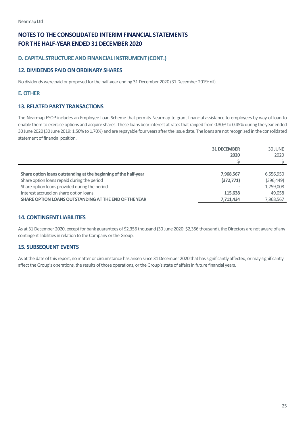## **D. CAPITAL STRUCTURE AND FINANCIAL INSTRUMENT (CONT.)**

## <span id="page-24-0"></span>**12. DIVIDENDS PAID ON ORDINARY SHARES**

No dividends were paid or proposed for the half-year ending 31 December 2020 (31 December 2019: nil).

## <span id="page-24-1"></span>**E.OTHER**

## <span id="page-24-2"></span>**13. RELATED PARTY TRANSACTIONS**

The Nearmap ESOP includes an Employee Loan Scheme that permits Nearmap to grant financial assistance to employees by way of loan to enable them to exercise options and acquire shares. These loans bear interest at rates that ranged from 0.30% to 0.45% during the year ended 30 June 2020 (30 June 2019: 1.50% to 1.70%) and are repayable four years after the issue date. The loans are not recognised in the consolidated statement of financial position.

|                                                                  | <b>31 DECEMBER</b> | 30 JUNE    |
|------------------------------------------------------------------|--------------------|------------|
|                                                                  | 2020               | 2020       |
|                                                                  |                    |            |
|                                                                  |                    |            |
| Share option loans outstanding at the beginning of the half-year | 7,968,567          | 6,556,950  |
| Share option loans repaid during the period                      | (372, 771)         | (396, 449) |
| Share option loans provided during the period                    |                    | 1,759,008  |
| Interest accrued on share option loans                           | 115,638            | 49,058     |
| SHARE OPTION LOANS OUTSTANDING AT THE END OF THE YEAR            | 7,711,434          | 7,968,567  |

## <span id="page-24-3"></span>**14. CONTINGENT LIABILITIES**

As at 31 December 2020, except for bank guarantees of \$2,356 thousand (30 June 2020: \$2,356 thousand), the Directors are not aware of any contingent liabilities in relation to the Company or the Group.

## <span id="page-24-4"></span>**15. SUBSEQUENT EVENTS**

As at the date of this report, no matter or circumstance has arisen since 31 December 2020 that has significantly affected, or may significantly affect the Group's operations, the results of those operations, or the Group's state of affairs in future financial years.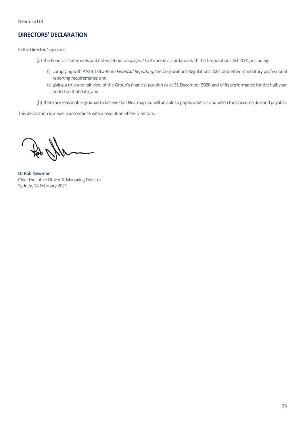## <span id="page-25-0"></span>**DIRECTORS' DECLARATION**

In the Directors' opinion:

- (a) the financial statements and notes set out on pages 7 to 25 are in accordance with the Corporations Act 2001, including:
	- (i) complying with AASB 134 *Interim Financial Reporting*, the Corporations Regulations 2001 and other mandatory professional reporting requirements; and
	- (ii) giving a true and fair view of the Group's financial position as at 31 December 2020 and of its performance for the half-year ended on that date; and
- (b) there are reasonable grounds to believe that Nearmap Ltd will be able to pay its debts as and when they become due and payable.

This declaration is made in accordance with a resolution of the Directors.

**Dr Rob Newman**  Chief Executive Officer & Managing Director Sydney, 14 February 2021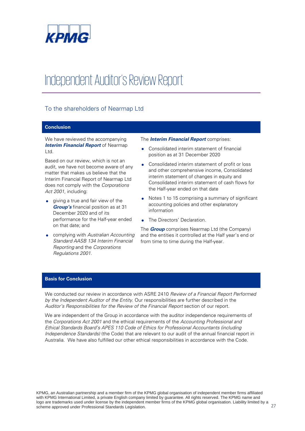

## Independent Auditor's Review Report

## To the shareholders of Nearmap Ltd

## **Conclusion**

We have reviewed the accompanying *Interim Financial Report* of Nearmap Ltd.

Based on our review, which is not an audit, we have not become aware of any matter that makes us believe that the Interim Financial Report of Nearmap Ltd does not comply with the *Corporations Act 2001*, including:

- **qiving a true and fair view of the** *Group's* financial position as at 31 December 2020 and of its performance for the Half-year ended on that date; and
- complying with *Australian Accounting Standard AASB 134 Interim Financial Reporting* and the *Corporations Regulations 2001*.

#### The *Interim Financial Report* comprises:

- Consolidated interim statement of financial position as at 31 December 2020
- Consolidated interim statement of profit or loss and other comprehensive income, Consolidated interim statement of changes in equity and Consolidated interim statement of cash flows for the Half-year ended on that date
- Notes 1 to 15 comprising a summary of significant accounting policies and other explanatory information
- The Directors' Declaration.

The *Group* comprises Nearmap Ltd (the Company) and the entities it controlled at the Half year's end or from time to time during the Half-year.

### **Basis for Conclusion**

We conducted our review in accordance with ASRE 2410 *Review of a Financial Report Performed by the Independent Auditor of the Entity*. Our responsibilities are further described in the *Auditor's Responsibilities for the Review of the Financial Report* section of our report.

We are independent of the Group in accordance with the auditor independence requirements of the *Corporations Act 2001* and the ethical requirements of the *Accounting Professional and Ethical Standards Board's APES 110 Code of Ethics for Professional Accountants (including Independence Standards)* (the Code) that are relevant to our audit of the annual financial report in Australia. We have also fulfilled our other ethical responsibilities in accordance with the Code.

KPMG, an Australian partnership and a member firm of the KPMG global organisation of independent member firms affiliated with KPMG International Limited, a private English company limited by guarantee. All rights reserved. The KPMG name and logo are trademarks used under license by the independent member firms of the KPMG global organisation. Liability limited by a scheme approved under Professional Standards Legislation.